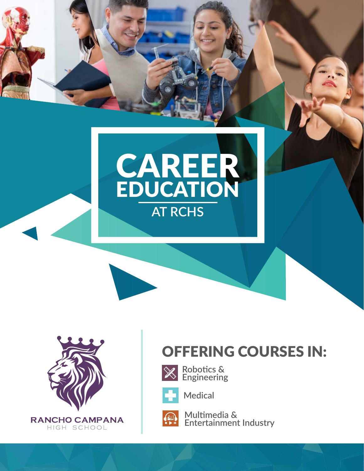



### OFFERING COURSES IN:



**Robotics & Engineering**



**Medical**

**EXP** 

**Multimedia & Entertainment Industry**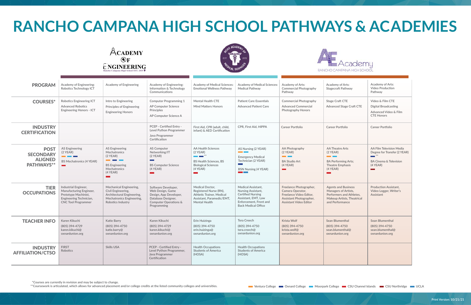# **RANCHO CAMPANA HIGH SCHOOL PATHWAYS & ACADEMIES**

 **\*Courses are currently in revision and may be subject to change.**

**\*\*Coursework is articulated, which allows for advanced placement and/or college credits at the listed community colleges and universities.**

## emu

| <b>PROGRAM</b>                                                  | <b>Academy of Engineering:</b><br>Robotics Technology ICT                                                                        | <b>Academy of Engineering</b>                                                                                                                                 | <b>Academy of Engineering:</b><br>Information & Technology<br>Communications                                                        | Academy of Medical Sciences:<br><b>Emotional Wellness Pathway</b>                                                                                                                                           | <b>Academy of Medical Sciences:</b><br><b>Medical Pathway</b>                                                                                                     | Academy of Arts:<br><b>Commercial Photography</b><br>Pathway                                                                       | Academy of Arts:<br><b>Stagecraft Pathway</b>                                                                                                     | <b>Academy of Arts:</b><br><b>Video Production</b><br>Pathway                                                                          |
|-----------------------------------------------------------------|----------------------------------------------------------------------------------------------------------------------------------|---------------------------------------------------------------------------------------------------------------------------------------------------------------|-------------------------------------------------------------------------------------------------------------------------------------|-------------------------------------------------------------------------------------------------------------------------------------------------------------------------------------------------------------|-------------------------------------------------------------------------------------------------------------------------------------------------------------------|------------------------------------------------------------------------------------------------------------------------------------|---------------------------------------------------------------------------------------------------------------------------------------------------|----------------------------------------------------------------------------------------------------------------------------------------|
| <b>COURSES*</b>                                                 | <b>Robotics Engineering ICT</b><br><b>Advanced Robotics</b><br><b>Engineering Honors - ICT</b>                                   | Intro to Engineering<br><b>Principles of Engineering</b><br><b>Engineering Honors</b>                                                                         | <b>Computer Programming 1</b><br><b>AP Computer Science</b><br>Principles<br>AP Computer Science A                                  | <b>Mental Health CTE</b><br><b>Mind Matters Honors</b>                                                                                                                                                      | <b>Patient Care Essentials</b><br><b>Advanced Patient Care</b>                                                                                                    | <b>Commercial Photography</b><br><b>Advanced Commercial</b><br><b>Photography Honors</b>                                           | <b>Stage Craft CTE</b><br><b>Advanced Stage Craft CTE</b>                                                                                         | Video & Film CTE<br><b>Digital Broadcasting</b><br>Advanced Video & Film<br><b>CTE Honors</b>                                          |
| <b>INDUSTRY</b><br><b>CERTIFICATION</b>                         |                                                                                                                                  |                                                                                                                                                               | PCEP - Certified Entry -<br>Level Python Programmer<br>Java Programmer<br>Certification                                             | First Aid, CPR (adult, child,<br>infant) & AED Certification                                                                                                                                                | CPR. First Aid. HIPPA                                                                                                                                             | Career Portfolio                                                                                                                   | Career Portfolio                                                                                                                                  | Career Portfolio                                                                                                                       |
| <b>POST</b><br><b>SECONDARY</b><br><b>ALIGNED</b><br>PATHWAYS** | <b>AS Engineering</b><br>$(2$ YEAR)<br><b>CONTRACTOR</b><br><b>BS Mechatronics (4 YEAR)</b>                                      | <b>AS Engineering</b><br>Mechatronics<br>$(2$ YEAR)<br><b>Band Control</b><br><b>BS</b> Engineering<br>Mechatronics<br>$(4$ YEAR)<br>$\overline{\phantom{a}}$ | <b>AS Computer</b><br>Networking/IT<br>$(2$ YEAR)<br><b>Contract</b><br><b>BS Computer Science</b><br>$(4$ YEAR)<br><b>Contract</b> | <b>AA Health Sciences</b><br>$(2$ YEAR)<br>$\begin{array}{ c c c }\hline \quad \quad & \ast\ast\end{array}$<br><b>BS Health Sciences, BS</b><br><b>Biological Sciences</b><br>$(4$ YEAR)<br><b>Contract</b> | AS Nursing (2 YEAR)<br><b>Contract Contract</b><br><b>Emergency Medical</b><br>Technician (2 YEAR)<br>$\sim 10^{-1}$<br><b>BSN Nursing (4 YEAR)</b>               | AA Photography<br>$(2$ YEAR)<br><b>Contract</b><br><b>BA Studio Art</b><br>$(4$ YEAR)<br>$\sim$                                    | <b>AA Theatre Arts</b><br>$(2$ YEAR)<br><b>Contract Contract</b><br><b>BA Performing Arts:</b><br><b>Theatre Emphasis</b><br>$(4$ YEAR)<br>mana a | AA Film Television Media<br>Degree for Transfer (2 YEAR)<br>$***$<br><b>BA Cinema &amp; Television</b><br>$(4$ YEAR)<br><b>College</b> |
| <b>TIER</b><br><b>OCCUPATIONS</b>                               | Industrial Engineer,<br>Manufacturing Engineer,<br>Prototype Machinist,<br>Engineering Technician,<br><b>CNC Tool Programmer</b> | <b>Mechanical Engineering,</b><br>Civil Engineering,<br>Architectural Engineering,<br><b>Mechatronics Engineering,</b><br>Robotics Industry                   | Software Developer,<br>Web Design, Game<br>Design, App Developer,<br>Database Designer,<br>Computer Operations &<br>Programming     | <b>Medical Doctor.</b><br>Registered Nurse (RN),<br><b>Athletic Trainer, Medical</b><br>Assistant, Paramedic/EMT.<br><b>Mental Health</b>                                                                   | <b>Medical Assistant.</b><br><b>Nursing Assistant,</b><br><b>Certified Nursing</b><br>Assistant, EMT, Law<br>Enforcement, Front and<br><b>Back Medical Office</b> | Freelance Photographer,<br>Camera Operator,<br>Freelance Video Editor,<br>Assistant Photographer,<br><b>Assistant Video Editor</b> | <b>Agents and Business</b><br><b>Managers of Artists,</b><br>Performers and Athletes,<br><b>Makeup Artists, Theatrical</b><br>and Performance     | <b>Production Assistant.</b><br>Video Logger, Writer's<br>Assistant                                                                    |
| <b>TEACHER INFO</b>                                             | Karen Kikuchi<br>(805) 394-4729<br>karen.kikuchi@<br>oxnardunion.org                                                             | Katie Barry<br>(805) 394-4750<br>katie.barry@<br>oxnardunion.org                                                                                              | Karen Kikuchi<br>(805) 394-4729<br>karen.kikuchi@<br>oxnardunion.org                                                                | Erin Huizinga<br>(805) 394-4750<br>erin.huizinga@<br>oxnardunion.org                                                                                                                                        | <b>Tera Creech</b><br>(805) 394-4750<br>tera.creech@<br>oxnardunion.org                                                                                           | Krista Wolf<br>(805) 394-4750<br>krista.wolf@<br>oxnardunion.org                                                                   | Sean Blumenthal<br>(805) 394-4750<br>sean.blumenthal@<br>oxnardunion.org                                                                          | <b>Sean Blumenthal</b><br>(805) 394-4750<br>sean.blumenthal@<br>oxnardunion.org                                                        |
| <b>INDUSTRY</b><br><b>AFFILIATION/CTSO</b>                      | <b>FIRST</b><br>Robotics                                                                                                         | <b>Skills USA</b>                                                                                                                                             | PCEP - Certified Entry -<br>Level Python Programmer,<br>Java Programmer<br>Certification                                            | <b>Health Occupations</b><br><b>Students of America</b><br>(HOSA)                                                                                                                                           | <b>Health Occupations</b><br><b>Students of America</b><br>(HOSA)                                                                                                 |                                                                                                                                    |                                                                                                                                                   |                                                                                                                                        |